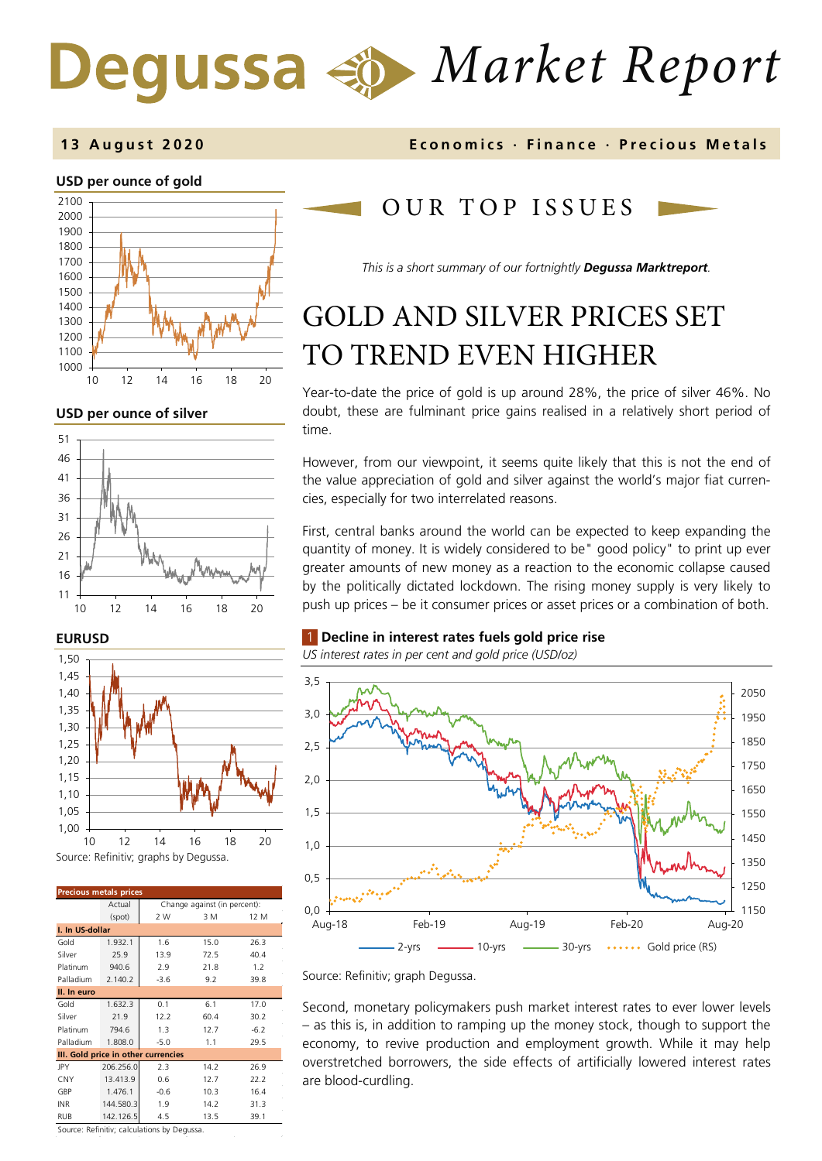# *Market Report*

#### **USD per ounce of gold**



#### **USD per ounce of silver**



#### **EURUSD**



| <b>Precious metals prices</b>       |           |                              |      |        |
|-------------------------------------|-----------|------------------------------|------|--------|
|                                     | Actual    | Change against (in percent): |      |        |
|                                     | (spot)    | 2 W                          | 3 M  | 12 M   |
| I. In US-dollar                     |           |                              |      |        |
| Gold                                | 1.932.1   | 1.6                          | 15.0 | 26.3   |
| Silver                              | 25.9      | 13.9                         | 72.5 | 40.4   |
| Platinum                            | 940.6     | 2.9                          | 21.8 | 1.2    |
| Palladium                           | 2.140.2   | $-3.6$                       | 9.2  | 39.8   |
| II. In euro                         |           |                              |      |        |
| Gold                                | 1.632.3   | 0.1                          | 6.1  | 17.0   |
| Silver                              | 21.9      | 12.2                         | 60.4 | 30.2   |
| Platinum                            | 794.6     | 1.3                          | 12.7 | $-6.2$ |
| Palladium                           | 1.808.0   | $-5.0$                       | 1.1  | 29.5   |
| III. Gold price in other currencies |           |                              |      |        |
| JPY                                 | 206.256.0 | 2.3                          | 14.2 | 26.9   |
| CNY                                 | 13.413.9  | 0.6                          | 12.7 | 22.2   |
| GBP                                 | 1.476.1   | $-0.6$                       | 10.3 | 16.4   |
| <b>INR</b>                          | 144.580.3 | 1.9                          | 14.2 | 31.3   |
| <b>RUB</b>                          | 142.126.5 | 4.5                          | 13.5 | 39.1   |

Source: Refinitiv; calculations by Degussa.

#### **13 August 2020 Economics · Finance · Precious M etals**

# OUR TOP ISSUE S

*This is a short summary of our fortnightly Degussa Marktreport.*

# GOLD AND SILVER PRICES SET TO TREND EVEN HIGHER

Year-to-date the price of gold is up around 28%, the price of silver 46%. No doubt, these are fulminant price gains realised in a relatively short period of time.

However, from our viewpoint, it seems quite likely that this is not the end of the value appreciation of gold and silver against the world's major fiat currencies, especially for two interrelated reasons.

First, central banks around the world can be expected to keep expanding the quantity of money. It is widely considered to be" good policy" to print up ever greater amounts of new money as a reaction to the economic collapse caused by the politically dictated lockdown. The rising money supply is very likely to push up prices – be it consumer prices or asset prices or a combination of both.

#### 1 **Decline in interest rates fuels gold price rise**

*US interest rates in per cent and gold price (USD/oz)* 



Source: Refinitiv; graph Degussa.

Second, monetary policymakers push market interest rates to ever lower levels – as this is, in addition to ramping up the money stock, though to support the economy, to revive production and employment growth. While it may help overstretched borrowers, the side effects of artificially lowered interest rates are blood-curdling.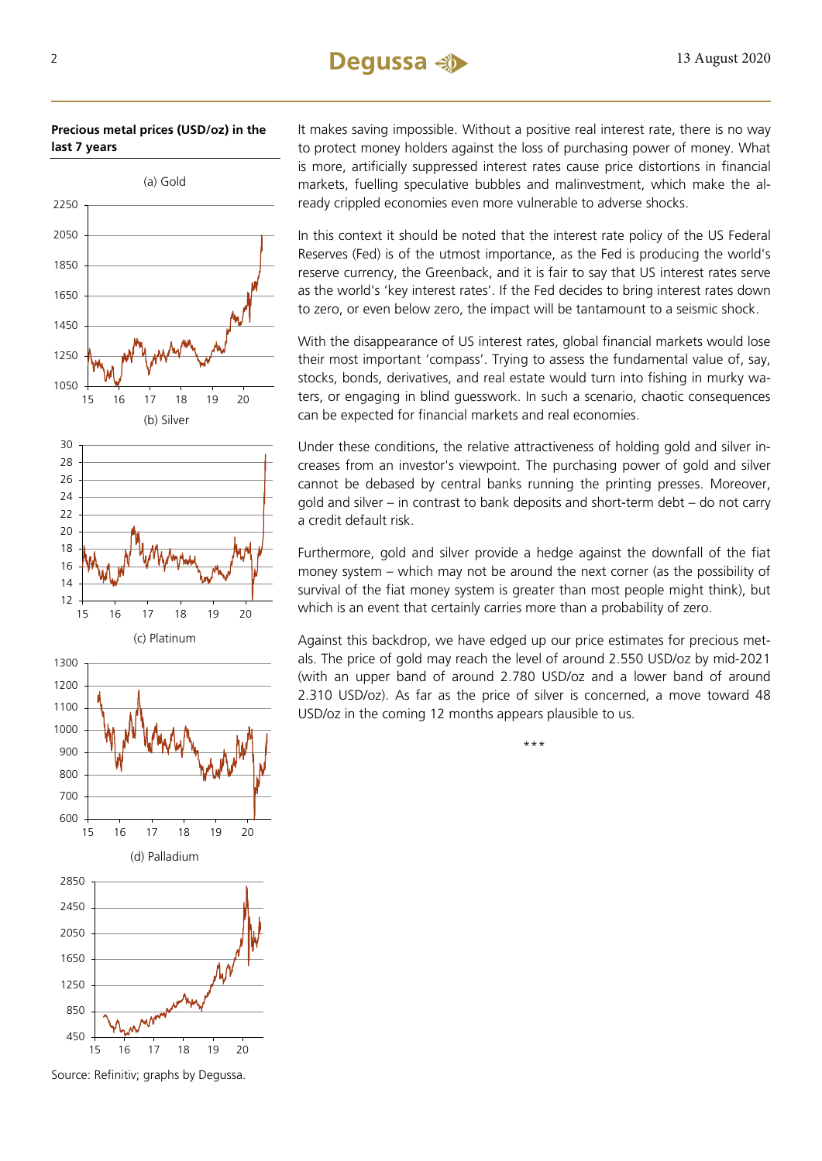## 2 **Dequssa**  $\rightarrow$  13 August 2020

**Precious metal prices (USD/oz) in the last 7 years**



Source: Refinitiv; graphs by Degussa.

It makes saving impossible. Without a positive real interest rate, there is no way to protect money holders against the loss of purchasing power of money. What is more, artificially suppressed interest rates cause price distortions in financial markets, fuelling speculative bubbles and malinvestment, which make the already crippled economies even more vulnerable to adverse shocks.

In this context it should be noted that the interest rate policy of the US Federal Reserves (Fed) is of the utmost importance, as the Fed is producing the world's reserve currency, the Greenback, and it is fair to say that US interest rates serve as the world's 'key interest rates'. If the Fed decides to bring interest rates down to zero, or even below zero, the impact will be tantamount to a seismic shock.

With the disappearance of US interest rates, global financial markets would lose their most important 'compass'. Trying to assess the fundamental value of, say, stocks, bonds, derivatives, and real estate would turn into fishing in murky waters, or engaging in blind guesswork. In such a scenario, chaotic consequences can be expected for financial markets and real economies.

Under these conditions, the relative attractiveness of holding gold and silver increases from an investor's viewpoint. The purchasing power of gold and silver cannot be debased by central banks running the printing presses. Moreover, gold and silver – in contrast to bank deposits and short-term debt – do not carry a credit default risk.

Furthermore, gold and silver provide a hedge against the downfall of the fiat money system – which may not be around the next corner (as the possibility of survival of the fiat money system is greater than most people might think), but which is an event that certainly carries more than a probability of zero.

Against this backdrop, we have edged up our price estimates for precious metals. The price of gold may reach the level of around 2.550 USD/oz by mid-2021 (with an upper band of around 2.780 USD/oz and a lower band of around 2.310 USD/oz). As far as the price of silver is concerned, a move toward 48 USD/oz in the coming 12 months appears plausible to us.

\*\*\*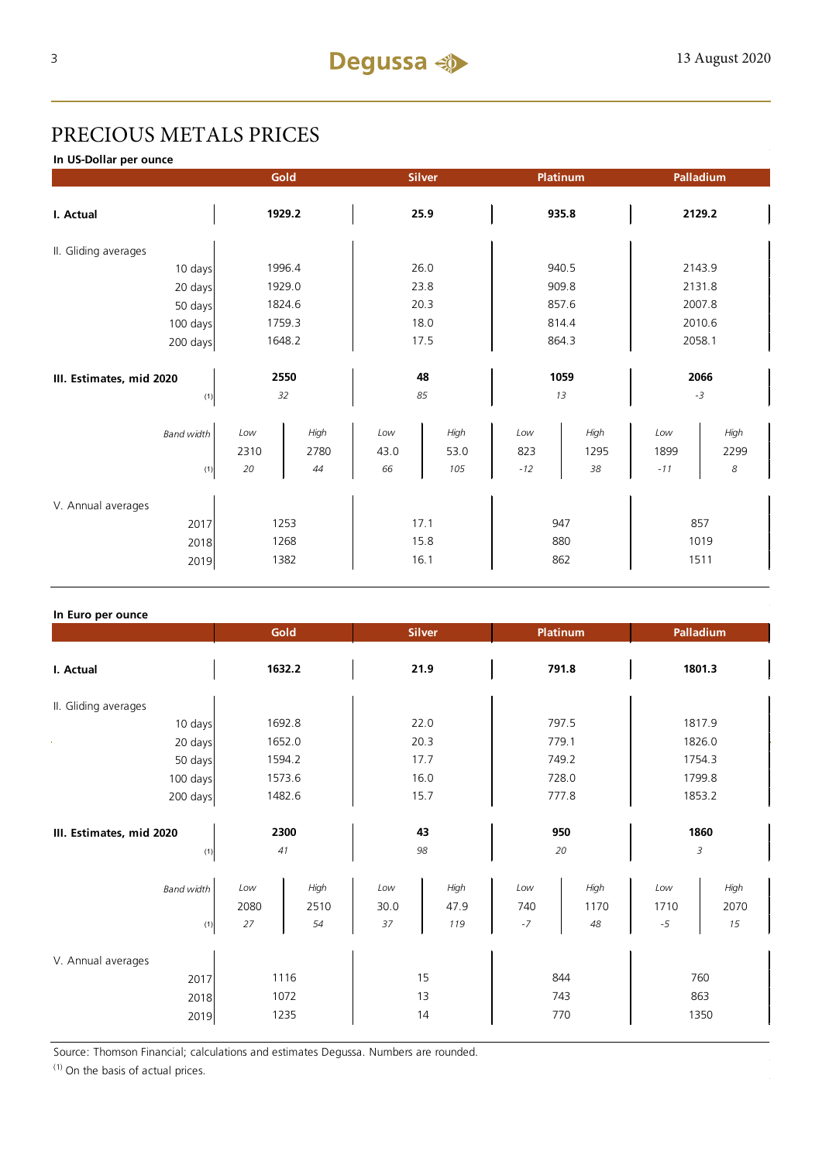# PRECIOUS METALS PRICES

**In US-Dollar per ounce**

|                          |        | Gold   |      | <b>Silver</b> |       | Platinum |        | Palladium        |
|--------------------------|--------|--------|------|---------------|-------|----------|--------|------------------|
| I. Actual                | 1929.2 |        | 25.9 |               | 935.8 |          | 2129.2 |                  |
| II. Gliding averages     |        |        |      |               |       |          |        |                  |
| 10 days                  |        | 1996.4 |      | 26.0          |       | 940.5    |        | 2143.9           |
| 20 days                  |        | 1929.0 |      | 23.8          |       | 909.8    |        | 2131.8           |
| 50 days                  |        | 1824.6 |      | 20.3          |       | 857.6    |        | 2007.8           |
| 100 days                 |        | 1759.3 |      | 18.0          |       | 814.4    |        | 2010.6           |
| 200 days                 |        | 1648.2 |      | 17.5          |       | 864.3    |        | 2058.1           |
|                          |        |        |      |               |       |          |        |                  |
| III. Estimates, mid 2020 |        | 2550   |      | 48            |       | 1059     |        | 2066             |
| (1)                      |        | 32     |      | 85            |       | 13       |        | $-3$             |
| <b>Band width</b>        | Low    | High   | Low  | High          | Low   | High     | Low    | High             |
|                          | 2310   | 2780   | 43.0 | 53.0          | 823   | 1295     | 1899   | 2299             |
| (1)                      | 20     | 44     | 66   | 105           | $-12$ | 38       | $-11$  | $\boldsymbol{8}$ |
| V. Annual averages       |        |        |      |               |       |          |        |                  |
| 2017                     |        | 1253   |      | 17.1          |       | 947      |        | 857              |
| 2018                     |        | 1268   |      | 15.8          |       | 880      |        | 1019             |
| 2019                     |        | 1382   |      | 16.1          |       | 862      |        | 1511             |

#### **In Euro per ounce**

|                                            | Gold                                    | <b>Silver</b>                            | <b>Platinum</b>                          | Palladium                                 |
|--------------------------------------------|-----------------------------------------|------------------------------------------|------------------------------------------|-------------------------------------------|
| I. Actual                                  | 1632.2                                  | 21.9                                     | 791.8                                    | 1801.3                                    |
| II. Gliding averages                       |                                         |                                          |                                          |                                           |
| 10 days                                    | 1692.8                                  | 22.0                                     | 797.5                                    | 1817.9                                    |
| 20 days                                    | 1652.0                                  | 20.3                                     | 779.1                                    | 1826.0                                    |
| 50 days                                    | 1594.2                                  | 17.7                                     | 749.2                                    | 1754.3                                    |
| 100 days                                   | 1573.6                                  | 16.0                                     | 728.0                                    | 1799.8                                    |
| 200 days                                   | 1482.6                                  | 15.7                                     | 777.8                                    | 1853.2                                    |
| III. Estimates, mid 2020<br>(1)            | 2300<br>41                              | 43<br>98                                 | 950<br>20                                | 1860<br>3                                 |
| <b>Band width</b><br>(1)                   | High<br>Low<br>2080<br>2510<br>27<br>54 | Low<br>High<br>47.9<br>30.0<br>37<br>119 | High<br>Low<br>740<br>1170<br>$-7$<br>48 | High<br>Low<br>2070<br>1710<br>15<br>$-5$ |
| V. Annual averages<br>2017<br>2018<br>2019 | 1116<br>1072<br>1235                    | 15<br>13<br>14                           | 844<br>743<br>770                        | 760<br>863<br>1350                        |

Source: Thomson Financial; calculations and estimates Degussa. Numbers are rounded.

 $(1)$  On the basis of actual prices.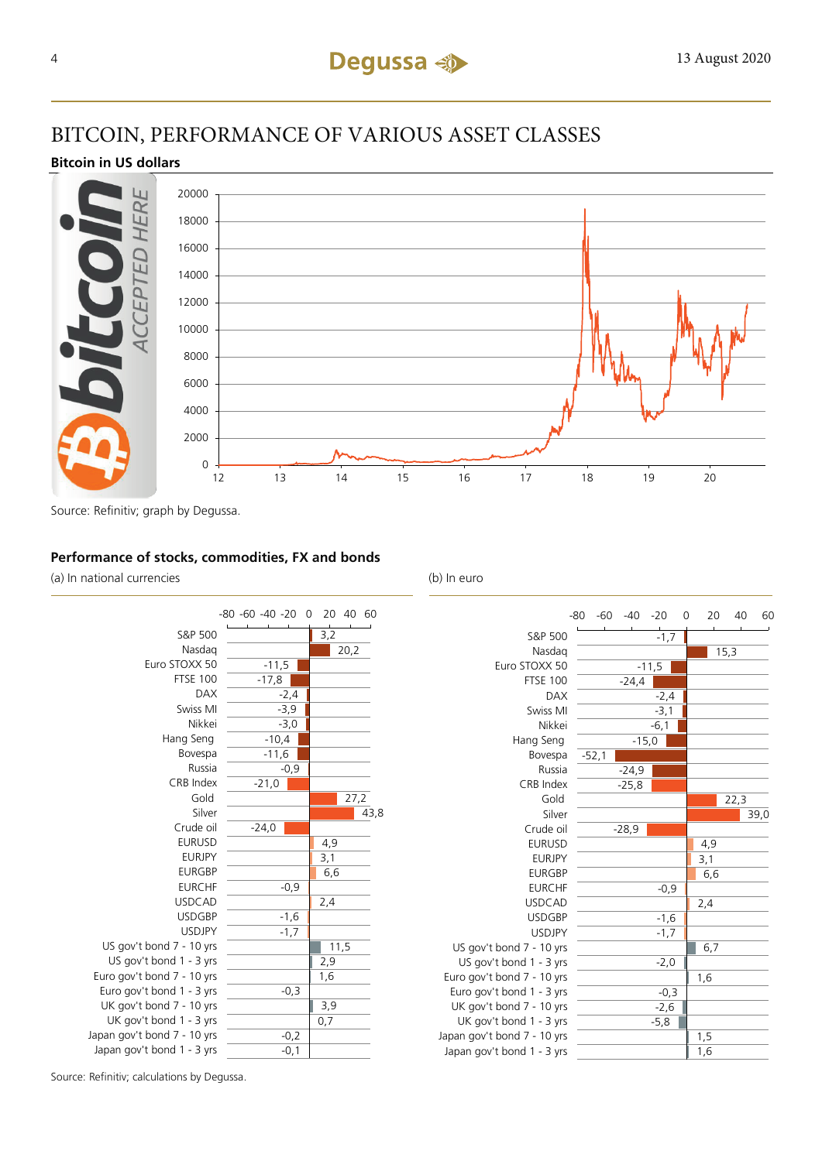## BITCOIN, PERFORMANCE OF VARIOUS ASSET CLASSES

#### **Bitcoin in US dollars**



Source: Refinitiv; graph by Degussa.

#### **Performance of stocks, commodities, FX and bonds**

(a) In national currencies (b) In euro





Source: Refinitiv; calculations by Degussa.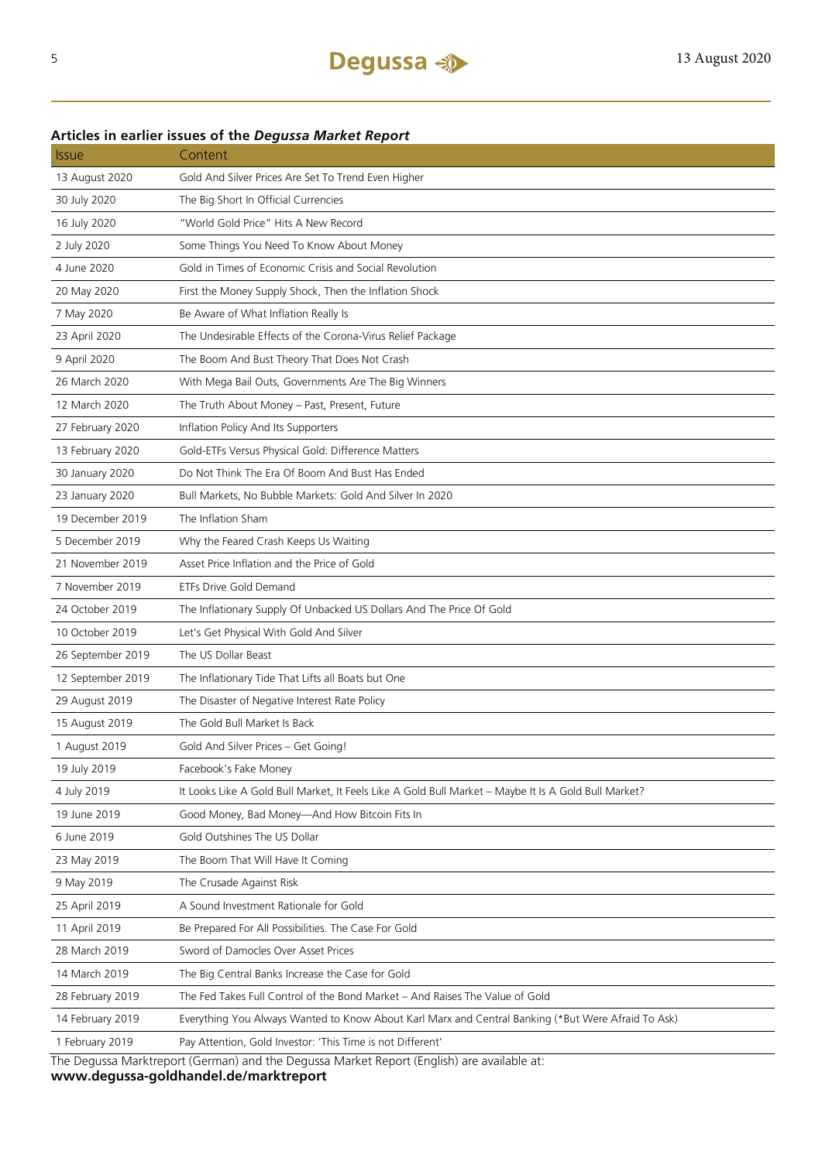#### **Articles in earlier issues of the** *Degussa Market Report*

| <i><b>Issue</b></i> | Content                                                                                              |  |
|---------------------|------------------------------------------------------------------------------------------------------|--|
| 13 August 2020      | Gold And Silver Prices Are Set To Trend Even Higher                                                  |  |
| 30 July 2020        | The Big Short In Official Currencies                                                                 |  |
| 16 July 2020        | "World Gold Price" Hits A New Record                                                                 |  |
| 2 July 2020         | Some Things You Need To Know About Money                                                             |  |
| 4 June 2020         | Gold in Times of Economic Crisis and Social Revolution                                               |  |
| 20 May 2020         | First the Money Supply Shock, Then the Inflation Shock                                               |  |
| 7 May 2020          | Be Aware of What Inflation Really Is                                                                 |  |
| 23 April 2020       | The Undesirable Effects of the Corona-Virus Relief Package                                           |  |
| 9 April 2020        | The Boom And Bust Theory That Does Not Crash                                                         |  |
| 26 March 2020       | With Mega Bail Outs, Governments Are The Big Winners                                                 |  |
| 12 March 2020       | The Truth About Money - Past, Present, Future                                                        |  |
| 27 February 2020    | Inflation Policy And Its Supporters                                                                  |  |
| 13 February 2020    | Gold-ETFs Versus Physical Gold: Difference Matters                                                   |  |
| 30 January 2020     | Do Not Think The Era Of Boom And Bust Has Ended                                                      |  |
| 23 January 2020     | Bull Markets, No Bubble Markets: Gold And Silver In 2020                                             |  |
| 19 December 2019    | The Inflation Sham                                                                                   |  |
| 5 December 2019     | Why the Feared Crash Keeps Us Waiting                                                                |  |
| 21 November 2019    | Asset Price Inflation and the Price of Gold                                                          |  |
| 7 November 2019     | ETFs Drive Gold Demand                                                                               |  |
| 24 October 2019     | The Inflationary Supply Of Unbacked US Dollars And The Price Of Gold                                 |  |
| 10 October 2019     | Let's Get Physical With Gold And Silver                                                              |  |
| 26 September 2019   | The US Dollar Beast                                                                                  |  |
| 12 September 2019   | The Inflationary Tide That Lifts all Boats but One                                                   |  |
| 29 August 2019      | The Disaster of Negative Interest Rate Policy                                                        |  |
| 15 August 2019      | The Gold Bull Market Is Back                                                                         |  |
| 1 August 2019       | Gold And Silver Prices - Get Going!                                                                  |  |
| 19 July 2019        | Facebook's Fake Money                                                                                |  |
| 4 July 2019         | It Looks Like A Gold Bull Market, It Feels Like A Gold Bull Market - Maybe It Is A Gold Bull Market? |  |
| 19 June 2019        | Good Money, Bad Money-And How Bitcoin Fits In                                                        |  |
| 6 June 2019         | Gold Outshines The US Dollar                                                                         |  |
| 23 May 2019         | The Boom That Will Have It Coming                                                                    |  |
| 9 May 2019          | The Crusade Against Risk                                                                             |  |
| 25 April 2019       | A Sound Investment Rationale for Gold                                                                |  |
| 11 April 2019       | Be Prepared For All Possibilities. The Case For Gold                                                 |  |
| 28 March 2019       | Sword of Damocles Over Asset Prices                                                                  |  |
| 14 March 2019       | The Big Central Banks Increase the Case for Gold                                                     |  |
| 28 February 2019    | The Fed Takes Full Control of the Bond Market - And Raises The Value of Gold                         |  |
| 14 February 2019    | Everything You Always Wanted to Know About Karl Marx and Central Banking (*But Were Afraid To Ask)   |  |
| 1 February 2019     | Pay Attention, Gold Investor: 'This Time is not Different'                                           |  |
|                     |                                                                                                      |  |

The Degussa Marktreport (German) and the Degussa Market Report (English) are available at: **www.degussa-goldhandel.de/marktreport**